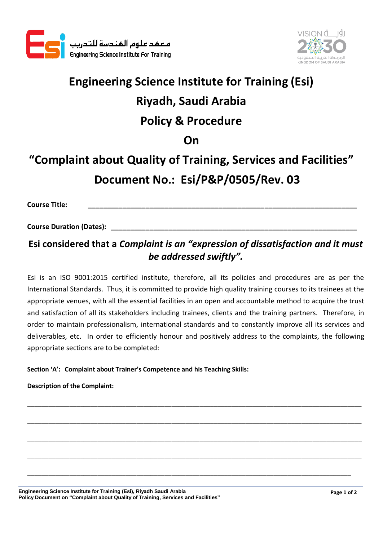



# **Engineering Science Institute for Training (Esi) Riyadh, Saudi Arabia Policy & Procedure On**

## **"Complaint about Quality of Training, Services and Facilities" Document No.: Esi/P&P/0505/Rev. 03**

**Course Title: \_\_\_\_\_\_\_\_\_\_\_\_\_\_\_\_\_\_\_\_\_\_\_\_\_\_\_\_\_\_\_\_\_\_\_\_\_\_\_\_\_\_\_\_\_\_\_\_\_\_\_\_\_\_\_\_\_\_\_\_\_\_\_\_\_\_\_\_\_\_**

**Course Duration (Dates): \_\_\_\_\_\_\_\_\_\_\_\_\_\_\_\_\_\_\_\_\_\_\_\_\_\_\_\_\_\_\_\_\_\_\_\_\_\_\_\_\_\_\_\_\_\_\_\_\_\_\_\_\_\_\_\_\_\_\_\_\_\_\_\_**

## **Esi considered that a** *Complaint is an "expression of dissatisfaction and it must be addressed swiftly".*

Esi is an ISO 9001:2015 certified institute, therefore, all its policies and procedures are as per the International Standards. Thus, it is committed to provide high quality training courses to its trainees at the appropriate venues, with all the essential facilities in an open and accountable method to acquire the trust and satisfaction of all its stakeholders including trainees, clients and the training partners. Therefore, in order to maintain professionalism, international standards and to constantly improve all its services and deliverables, etc. In order to efficiently honour and positively address to the complaints, the following appropriate sections are to be completed:

\_\_\_\_\_\_\_\_\_\_\_\_\_\_\_\_\_\_\_\_\_\_\_\_\_\_\_\_\_\_\_\_\_\_\_\_\_\_\_\_\_\_\_\_\_\_\_\_\_\_\_\_\_\_\_\_\_\_\_\_\_\_\_\_\_\_\_\_\_\_\_\_\_\_\_\_\_\_\_\_\_\_\_\_\_\_\_\_\_\_\_\_\_\_\_

\_\_\_\_\_\_\_\_\_\_\_\_\_\_\_\_\_\_\_\_\_\_\_\_\_\_\_\_\_\_\_\_\_\_\_\_\_\_\_\_\_\_\_\_\_\_\_\_\_\_\_\_\_\_\_\_\_\_\_\_\_\_\_\_\_\_\_\_\_\_\_\_\_\_\_\_\_\_\_\_\_\_\_\_\_\_\_\_\_\_\_\_\_\_\_

\_\_\_\_\_\_\_\_\_\_\_\_\_\_\_\_\_\_\_\_\_\_\_\_\_\_\_\_\_\_\_\_\_\_\_\_\_\_\_\_\_\_\_\_\_\_\_\_\_\_\_\_\_\_\_\_\_\_\_\_\_\_\_\_\_\_\_\_\_\_\_\_\_\_\_\_\_\_\_\_\_\_\_\_\_\_\_\_\_\_\_\_\_\_\_

\_\_\_\_\_\_\_\_\_\_\_\_\_\_\_\_\_\_\_\_\_\_\_\_\_\_\_\_\_\_\_\_\_\_\_\_\_\_\_\_\_\_\_\_\_\_\_\_\_\_\_\_\_\_\_\_\_\_\_\_\_\_\_\_\_\_\_\_\_\_\_\_\_\_\_\_\_\_\_\_\_\_\_\_\_\_\_\_\_\_\_\_\_\_\_

\_\_\_\_\_\_\_\_\_\_\_\_\_\_\_\_\_\_\_\_\_\_\_\_\_\_\_\_\_\_\_\_\_\_\_\_\_\_\_\_\_\_\_\_\_\_\_\_\_\_\_\_\_\_\_\_\_\_\_\_\_\_\_\_\_\_\_\_\_\_\_\_\_\_\_\_\_\_\_\_\_\_\_\_\_\_\_\_\_\_\_\_

### **Section 'A': Complaint about Trainer's Competence and his Teaching Skills:**

**Description of the Complaint:**

**Engineering Science Institute for Training (Esi), Riyadh Saudi Arabia Policy Document on "Complaint about Quality of Training, Services and Facilities"**